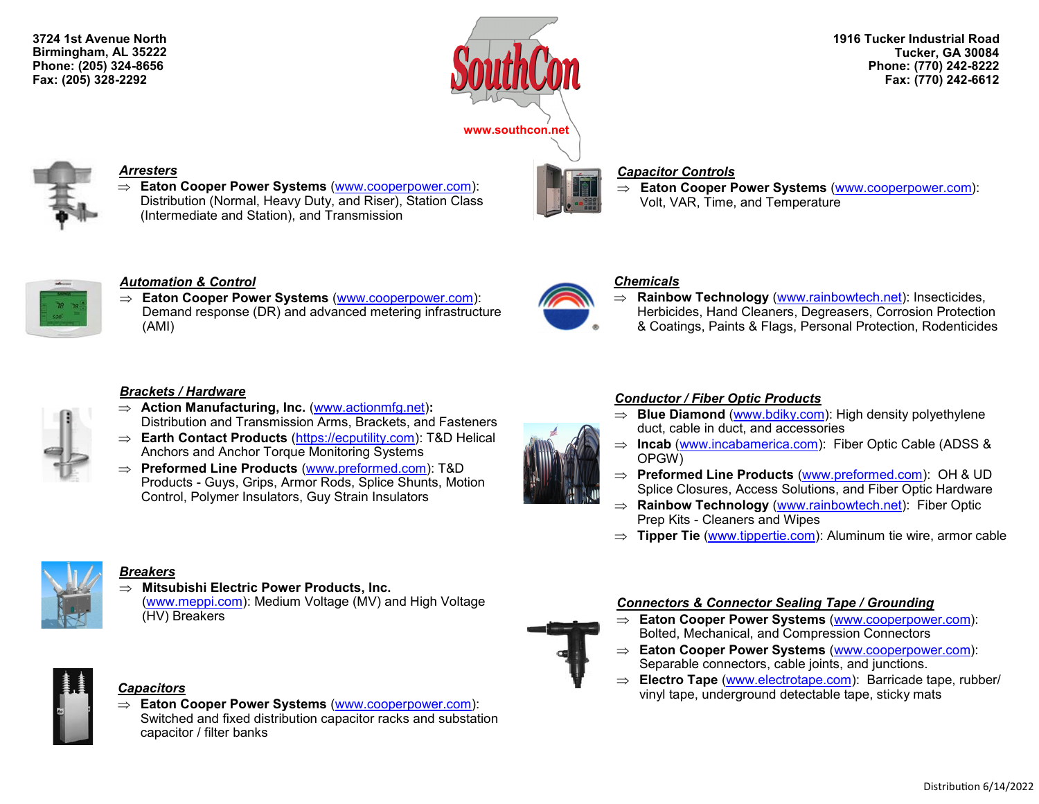**3724 1st Avenue North Birmingham, AL 35222 Phone: (205) 324-8656 Fax: (205) 328-2292**



**1916 Tucker Industrial Road Tucker, GA 30084 Phone: (770) 242-8222 Fax: (770) 242-6612**



### *Arresters*

 **Eaton Cooper Power Systems** ([www.cooperpower.com\):](http://www.cooperpower.com) Distribution (Normal, Heavy Duty, and Riser), Station Class (Intermediate and Station), and Transmission

# *Capacitor Controls*

 **Eaton Cooper Power Systems** ([www.cooperpower.com\):](http://www.cooperpower.com) Volt, VAR, Time, and Temperature



### *Automation & Control*

 **Eaton Cooper Power Systems** ([www.cooperpower.com\)](http://www.cooperpower.com): Demand response (DR) and advanced metering infrastructure (AMI)

### *Brackets / Hardware*

- **Action Manufacturing, Inc.** [\(www.actionmfg.net\)](http://www.actionmfg.net)**:** Distribution and Transmission Arms, Brackets, and Fasteners
- **Earth Contact Products** ([https://ecputility.com\):](https://ecputility.com) T&D Helical Anchors and Anchor Torque Monitoring Systems
- **Preformed Line Products** [\(www.preformed.com\)](http://www.preformed.com/): T&D Products - Guys, Grips, Armor Rods, Splice Shunts, Motion Control, Polymer Insulators, Guy Strain Insulators



### *Chemicals*

 **Rainbow Technology** ([www.rainbowtech.net\):](http://www.rainbowtech.net) Insecticides, Herbicides, Hand Cleaners, Degreasers, Corrosion Protection & Coatings, Paints & Flags, Personal Protection, Rodenticides

### *Conductor / Fiber Optic Products*

- $\Rightarrow$  **Blue Diamond** [\(www.bdiky.com\)](http://www.bdiky.com/): High density polyethylene duct, cable in duct, and accessories
- ⇒ **Incab** ([www.incabamerica.com\)](http://www.incabamerica.com): Fiber Optic Cable (ADSS & OPGW)
- **Preformed Line Products** ([www.preformed.com\):](http://www.preformed.com) OH & UD Splice Closures, Access Solutions, and Fiber Optic Hardware
- **Rainbow Technology** ([www.rainbowtech.net\):](http://www.rainbowtech.net) Fiber Optic Prep Kits - Cleaners and Wipes
- ⇒ **Tipper Tie** ([www.tippertie.com\):](http://www.tippertie.com/) Aluminum tie wire, armor cable



### *Breakers*

- **Mitsubishi Electric Power Products, Inc.** 
	- ([www.meppi.com\)](http://www.meppi.com/): Medium Voltage (MV) and High Voltage (HV) Breakers



 **Eaton Cooper Power Systems** ([www.cooperpower.com\):](http://www.cooperpower.com) Switched and fixed distribution capacitor racks and substation capacitor / filter banks



- **Eaton Cooper Power Systems** ([www.cooperpower.com\)](http://www.cooperpower.com): Bolted, Mechanical, and Compression Connectors
- **Eaton Cooper Power Systems** ([www.cooperpower.com\)](http://www.cooperpower.com): Separable connectors, cable joints, and junctions.
- **Electro Tape** ([www.electrotape.com\):](http://www.electrotape.com) Barricade tape, rubber/ vinyl tape, underground detectable tape, sticky mats *Capacitors*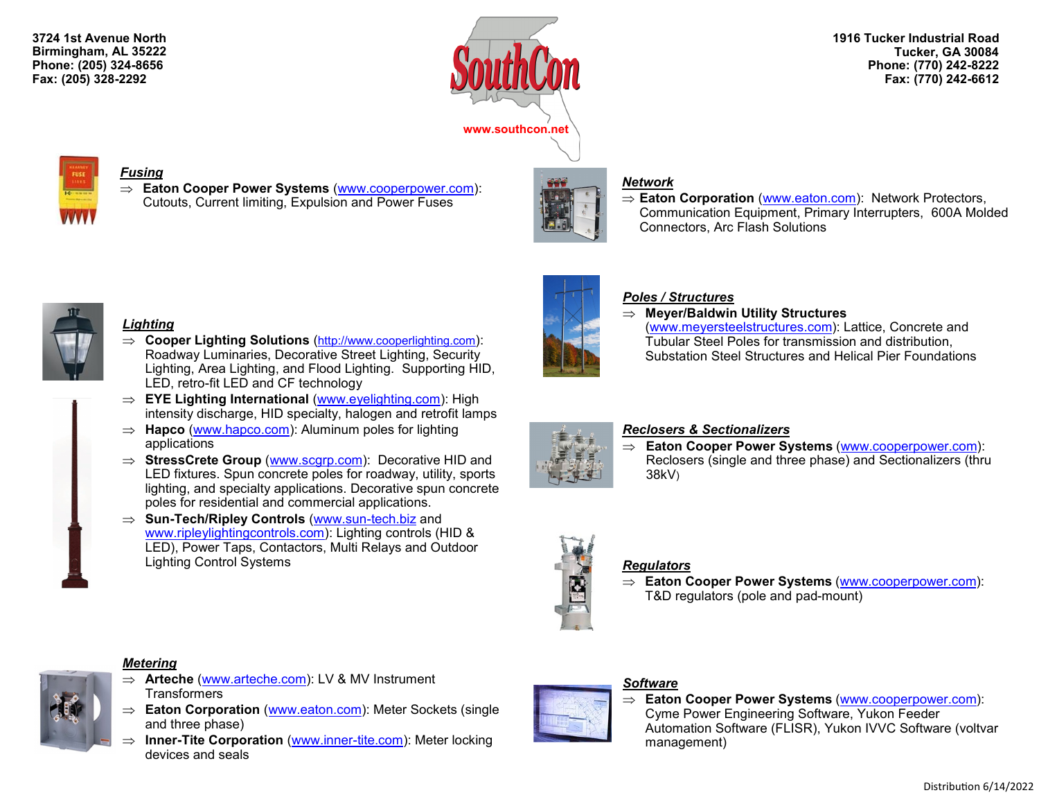**3724 1st Avenue North Birmingham, AL 35222 Phone: (205) 324-8656 Fax: (205) 328-2292**



**1916 Tucker Industrial Road Tucker, GA 30084 Phone: (770) 242-8222 Fax: (770) 242-6612**



### *Fusing*

 **Eaton Cooper Power Systems** [\(www.cooperpower.com\):](http://www.cooperpower.com) Cutouts, Current limiting, Expulsion and Power Fuses



### *Network*

⇒ **Eaton Corporation** ([www.eaton.com\)](http://www.eaton.com): Network Protectors, Communication Equipment, Primary Interrupters, 600A Molded Connectors, Arc Flash Solutions



### *Lighting*

- **Cooper Lighting Solutions** (<http://www.cooperlighting.com>): Roadway Luminaries, Decorative Street Lighting, Security Lighting, Area Lighting, and Flood Lighting. Supporting HID, LED, retro-fit LED and CF technology
- ⇒ **EYE Lighting International** ([www.eyelighting.com\)](http://www.eyelighting.com/): High intensity discharge, HID specialty, halogen and retrofit lamps
- $\Rightarrow$  **Hapco** [\(www.hapco.com\)](http://www.hapco.com/): Aluminum poles for lighting applications
- ⇒ **StressCrete Group** ([www.scgrp.com\):](http://www.scgrp.com) Decorative HID and LED fixtures. Spun concrete poles for roadway, utility, sports lighting, and specialty applications. Decorative spun concrete poles for residential and commercial applications.
- **Sun-Tech/Ripley Controls** [\(www.sun](http://www.sun-tech.biz)-tech.biz and [www.ripleylightingcontrols.com\):](http://www.ripleylightingcontrols.com) Lighting controls (HID & LED), Power Taps, Contactors, Multi Relays and Outdoor Lighting Control Systems *Regulators*



# *Poles / Structures*

 **Meyer/Baldwin Utility Structures** [\(www.meyersteelstructures.com\):](http://www.meyersteelstructures.com) Lattice, Concrete and Tubular Steel Poles for transmission and distribution, Substation Steel Structures and Helical Pier Foundations



# *Reclosers & Sectionalizers*

 **Eaton Cooper Power Systems** ([www.cooperpower.com\)](http://www.cooperpower.com): Reclosers (single and three phase) and Sectionalizers (thru 38kV)



 **Eaton Cooper Power Systems** [\(www.cooperpower.com\):](http://www.cooperpower.com) T&D regulators (pole and pad-mount)





- *Metering*
- **Arteche** ([www.arteche.com\):](http://www.arteche.com) LV & MV Instrument **Transformers**
- **Eaton Corporation** ([www.eaton.com\)](http://www.eaton.com/): Meter Sockets (single and three phase)
- $\Rightarrow$  **Inner-Tite Corporation** [\(www.inner](http://www.inner-tite.com/)-tite.com): Meter locking devices and seals

# *Software*